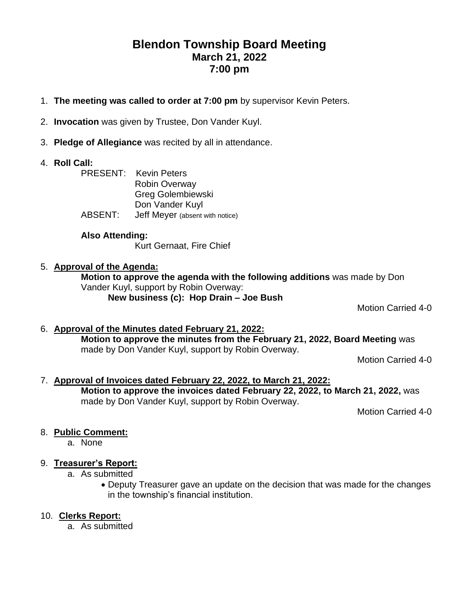# **Blendon Township Board Meeting March 21, 2022 7:00 pm**

- 1. **The meeting was called to order at 7:00 pm** by supervisor Kevin Peters.
- 2. **Invocation** was given by Trustee, Don Vander Kuyl.
- 3. **Pledge of Allegiance** was recited by all in attendance.
- 4. **Roll Call:**
	- PRESENT: Kevin Peters Robin Overway Greg Golembiewski Don Vander Kuyl ABSENT: Jeff Meyer (absent with notice)

#### **Also Attending:**

Kurt Gernaat, Fire Chief

#### 5. **Approval of the Agenda:**

**Motion to approve the agenda with the following additions** was made by Don Vander Kuyl, support by Robin Overway: **New business (c): Hop Drain – Joe Bush**

Motion Carried 4-0

#### 6. **Approval of the Minutes dated February 21, 2022: Motion to approve the minutes from the February 21, 2022, Board Meeting** was made by Don Vander Kuyl, support by Robin Overway.

Motion Carried 4-0

#### 7. **Approval of Invoices dated February 22, 2022, to March 21, 2022: Motion to approve the invoices dated February 22, 2022, to March 21, 2022,** was made by Don Vander Kuyl, support by Robin Overway.

Motion Carried 4-0

# 8. **Public Comment:**

a. None

# 9. **Treasurer's Report:**

- a. As submitted
	- Deputy Treasurer gave an update on the decision that was made for the changes in the township's financial institution.

# 10. **Clerks Report:**

a. As submitted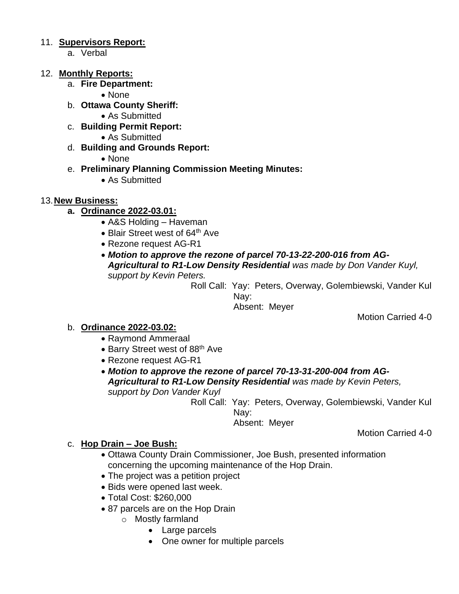#### 11. **Supervisors Report:**

a. Verbal

#### 12. **Monthly Reports:**

a. **Fire Department:** 

• None

- b. **Ottawa County Sheriff:**
	- As Submitted
- c. **Building Permit Report:**
	- As Submitted
- d. **Building and Grounds Report:**
	- None
- e. **Preliminary Planning Commission Meeting Minutes:**
	- As Submitted
- 13.**New Business:**
	- **a. Ordinance 2022-03.01:**
		- A&S Holding Haveman
		- Blair Street west of 64<sup>th</sup> Ave
		- Rezone request AG-R1
		- *Motion to approve the rezone of parcel 70-13-22-200-016 from AG-Agricultural to R1-Low Density Residential was made by Don Vander Kuyl, support by Kevin Peters.*

Roll Call: Yay: Peters, Overway, Golembiewski, Vander Kul Nay:

Absent: Meyer

Motion Carried 4-0

#### b. **Ordinance 2022-03.02:**

- Raymond Ammeraal
- Barry Street west of 88<sup>th</sup> Ave
- Rezone request AG-R1
- *Motion to approve the rezone of parcel 70-13-31-200-004 from AG-Agricultural to R1-Low Density Residential was made by Kevin Peters, support by Don Vander Kuyl*

Roll Call: Yay: Peters, Overway, Golembiewski, Vander Kul Nay:

Absent: Meyer

# Motion Carried 4-0

#### c. **Hop Drain – Joe Bush:**

- Ottawa County Drain Commissioner, Joe Bush, presented information concerning the upcoming maintenance of the Hop Drain.
- The project was a petition project
- Bids were opened last week.
- Total Cost: \$260,000
- 87 parcels are on the Hop Drain
	- o Mostly farmland
		- Large parcels
		- One owner for multiple parcels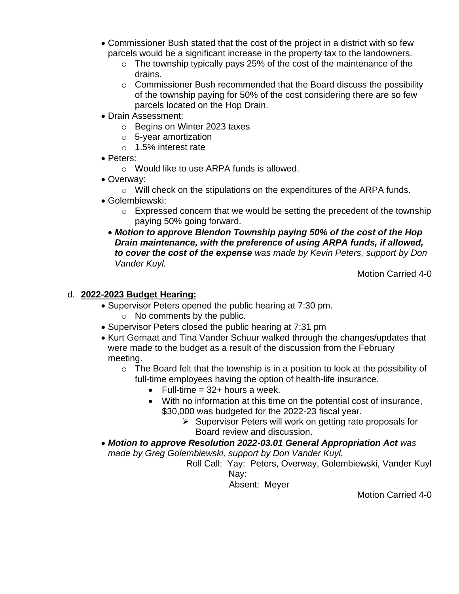- Commissioner Bush stated that the cost of the project in a district with so few parcels would be a significant increase in the property tax to the landowners.
	- $\circ$  The township typically pays 25% of the cost of the maintenance of the drains.
	- $\circ$  Commissioner Bush recommended that the Board discuss the possibility of the township paying for 50% of the cost considering there are so few parcels located on the Hop Drain.
- Drain Assessment:
	- o Begins on Winter 2023 taxes
	- o 5-year amortization
	- o 1.5% interest rate
- Peters:
	- o Would like to use ARPA funds is allowed.
- Overway:
	- $\circ$  Will check on the stipulations on the expenditures of the ARPA funds.
- Golembiewski:
	- o Expressed concern that we would be setting the precedent of the township paying 50% going forward.
	- *Motion to approve Blendon Township paying 50% of the cost of the Hop Drain maintenance, with the preference of using ARPA funds, if allowed, to cover the cost of the expense was made by Kevin Peters, support by Don Vander Kuyl.*

Motion Carried 4-0

#### d. **2022-2023 Budget Hearing:**

- Supervisor Peters opened the public hearing at 7:30 pm.
	- o No comments by the public.
- Supervisor Peters closed the public hearing at 7:31 pm
- Kurt Gernaat and Tina Vander Schuur walked through the changes/updates that were made to the budget as a result of the discussion from the February meeting.
	- $\circ$  The Board felt that the township is in a position to look at the possibility of full-time employees having the option of health-life insurance.
		- Full-time  $= 32+$  hours a week.
		- With no information at this time on the potential cost of insurance, \$30,000 was budgeted for the 2022-23 fiscal year.
			- ➢ Supervisor Peters will work on getting rate proposals for Board review and discussion.
- *Motion to approve Resolution 2022-03.01 General Appropriation Act was made by Greg Golembiewski, support by Don Vander Kuyl.*
	- Roll Call: Yay: Peters, Overway, Golembiewski, Vander Kuyl Nay:

Absent: Meyer

Motion Carried 4-0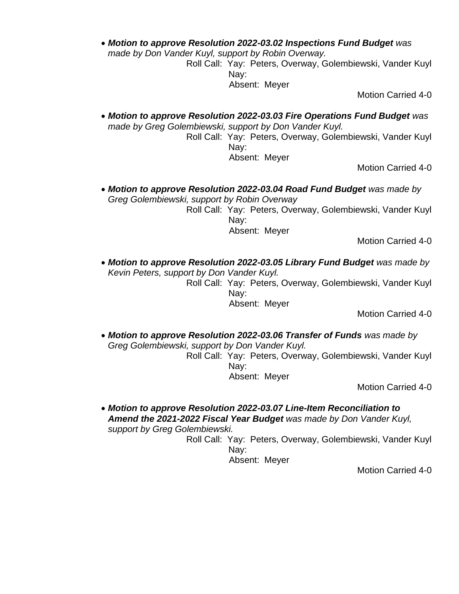• *Motion to approve Resolution 2022-03.02 Inspections Fund Budget was* 

*made by Don Vander Kuyl, support by Robin Overway.*

Roll Call: Yay: Peters, Overway, Golembiewski, Vander Kuyl Nay:

Absent: Meyer

Motion Carried 4-0

• *Motion to approve Resolution 2022-03.03 Fire Operations Fund Budget was made by Greg Golembiewski, support by Don Vander Kuyl.*

> Roll Call: Yay: Peters, Overway, Golembiewski, Vander Kuyl Nay:

Absent: Meyer

Motion Carried 4-0

• Motion to approve Resolution 2022-03.04 Road Fund Budget was made by *Greg Golembiewski, support by Robin Overway*

Roll Call: Yay: Peters, Overway, Golembiewski, Vander Kuyl Nay: Absent: Meyer

Motion Carried 4-0

• Motion to approve Resolution 2022-03.05 Library Fund Budget was made by *Kevin Peters, support by Don Vander Kuyl.*

> Roll Call: Yay: Peters, Overway, Golembiewski, Vander Kuyl Nay:

Absent: Meyer

Motion Carried 4-0

• *Motion to approve Resolution 2022-03.06 Transfer of Funds was made by Greg Golembiewski, support by Don Vander Kuyl.*

Roll Call: Yay: Peters, Overway, Golembiewski, Vander Kuyl Nay:

Absent: Meyer

Motion Carried 4-0

• *Motion to approve Resolution 2022-03.07 Line-Item Reconciliation to Amend the 2021-2022 Fiscal Year Budget was made by Don Vander Kuyl, support by Greg Golembiewski.*

> Roll Call: Yay: Peters, Overway, Golembiewski, Vander Kuyl Nay:

Absent: Meyer

Motion Carried 4-0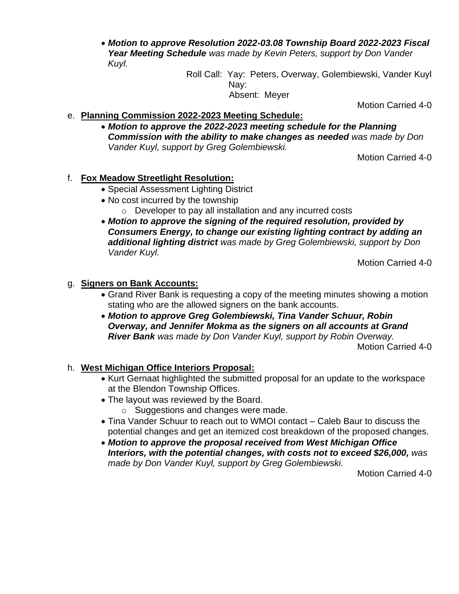• *Motion to approve Resolution 2022-03.08 Township Board 2022-2023 Fiscal Year Meeting Schedule was made by Kevin Peters, support by Don Vander Kuyl.*

Roll Call: Yay: Peters, Overway, Golembiewski, Vander Kuyl Nay: Absent: Meyer

Motion Carried 4-0

- e. **Planning Commission 2022-2023 Meeting Schedule:**
	- *Motion to approve the 2022-2023 meeting schedule for the Planning Commission with the ability to make changes as needed was made by Don Vander Kuyl, support by Greg Golembiewski.*

Motion Carried 4-0

#### f. **Fox Meadow Streetlight Resolution:**

- Special Assessment Lighting District
- No cost incurred by the township
	- o Developer to pay all installation and any incurred costs
- *Motion to approve the signing of the required resolution, provided by Consumers Energy, to change our existing lighting contract by adding an additional lighting district was made by Greg Golembiewski, support by Don Vander Kuyl.*

Motion Carried 4-0

#### g. **Signers on Bank Accounts:**

- Grand River Bank is requesting a copy of the meeting minutes showing a motion stating who are the allowed signers on the bank accounts.
- *Motion to approve Greg Golembiewski, Tina Vander Schuur, Robin Overway, and Jennifer Mokma as the signers on all accounts at Grand River Bank was made by Don Vander Kuyl, support by Robin Overway.*

Motion Carried 4-0

# h. **West Michigan Office Interiors Proposal:**

- Kurt Gernaat highlighted the submitted proposal for an update to the workspace at the Blendon Township Offices.
- The layout was reviewed by the Board.
	- o Suggestions and changes were made.
- Tina Vander Schuur to reach out to WMOI contact Caleb Baur to discuss the potential changes and get an itemized cost breakdown of the proposed changes.
- *Motion to approve the proposal received from West Michigan Office Interiors, with the potential changes, with costs not to exceed \$26,000, was made by Don Vander Kuyl, support by Greg Golembiewski.*

Motion Carried 4-0